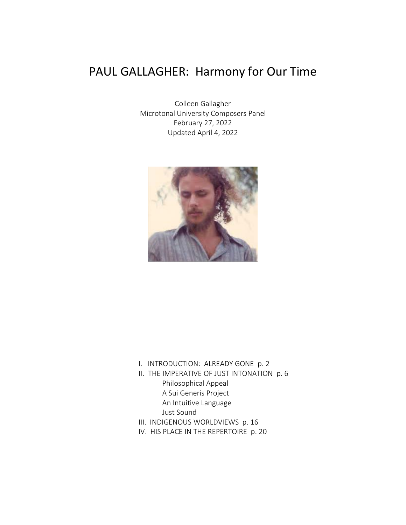# PAUL GALLAGHER: Harmony for Our Time

Colleen Gallagher Microtonal University Composers Panel February 27, 2022 Updated April 4, 2022



- I. INTRODUCTION: ALREADY GONE p. 2
- II. THE IMPERATIVE OF JUST INTONATION p. 6 Philosophical Appeal A Sui Generis Project An Intuitive Language Just Sound
- III. INDIGENOUS WORLDVIEWS p. 16
- IV. HIS PLACE IN THE REPERTOIRE p. 20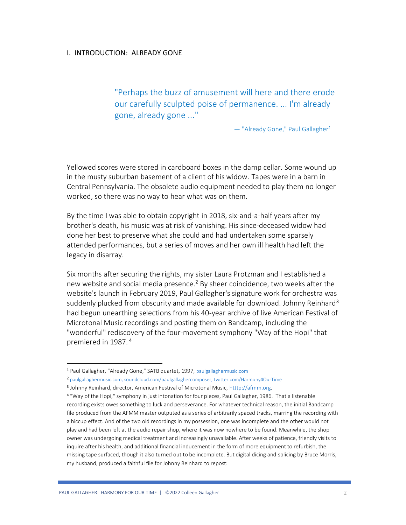## I. INTRODUCTION: ALREADY GONE

"Perhaps the buzz of amusement will here and there erode our carefully sculpted poise of permanence. ... I'm already gone, already gone ..."

— "Already Gone," Paul Gallagher<sup>1</sup>

Yellowed scores were stored in cardboard boxes in the damp cellar. Some wound up in the musty suburban basement of a client of his widow. Tapes were in a barn in Central Pennsylvania. The obsolete audio equipment needed to play them no longer worked, so there was no way to hear what was on them.

By the time I was able to obtain copyright in 2018, six-and-a-half years after my brother's death, his music was at risk of vanishing. His since-deceased widow had done her best to preserve what she could and had undertaken some sparsely attended performances, but a series of moves and her own ill health had left the legacy in disarray.

Six months after securing the rights, my sister Laura Protzman and I established a new website and social media presence.<sup>2</sup> By sheer coincidence, two weeks after the website's launch in February 2019, Paul Gallagher's signature work for orchestra was suddenly plucked from obscurity and made available for download. Johnny Reinhard<sup>3</sup> had begun unearthing selections from his 40-year archive of live American Festival of Microtonal Music recordings and posting them on Bandcamp, including the "wonderful" rediscovery of the four-movement symphony "Way of the Hopi" that premiered in 1987. <sup>4</sup>

<sup>1</sup> Paul Gallagher, "Already Gone," SATB quartet, 1997, [paulgallaghermusic.com](https://www.paulgallaghermusic.com/)

<sup>2</sup> [paulgallaghermusic.com,](https://www.paulgallaghermusic.com/) [soundcloud.com/paulgallaghercomposer,](https://soundcloud.com/paulgallaghercomposer) [twitter.com/Harmony4OurTime](https://twitter.com/Harmony4OurTime)

<sup>3</sup> Johnny Reinhard, director, American Festival of Microtonal Music, [htttp://afmm.org.](http://afmm.org/)

<sup>4</sup> "Way of the Hopi," symphony in just intonation for four pieces, Paul Gallagher, 1986. That a listenable recording exists owes something to luck and perseverance. For whatever technical reason, the initial Bandcamp file produced from the AFMM master outputed as a series of arbitrarily spaced tracks, marring the recording with a hiccup effect. And of the two old recordings in my possession, one was incomplete and the other would not play and had been left at the audio repair shop, where it was now nowhere to be found. Meanwhile, the shop owner was undergoing medical treatment and increasingly unavailable. After weeks of patience, friendly visits to inquire after his health, and additional financial inducement in the form of more equipment to refurbish, the missing tape surfaced, though it also turned out to be incomplete. But digital dicing and splicing by Bruce Morris, my husband, produced a faithful file for Johnny Reinhard to repost: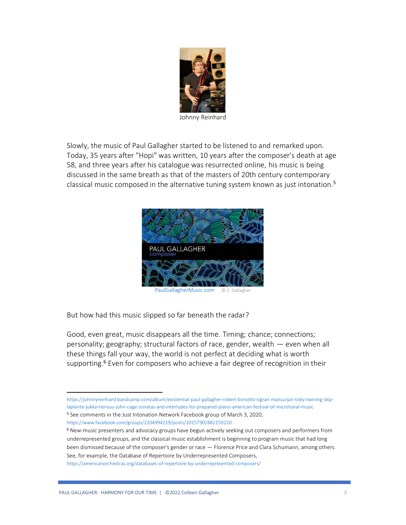

Slowly, the music of Paul Gallagher started to be listened to and remarked upon. Today, 35 years after "Hopi" was written, 10 years after the composer's death at age 58, and three years after his catalogue was resurrected online, his music is being discussed in the same breath as that of the masters of 20th century contemporary classical music composed in the alternative tuning system known as just intonation.<sup>5</sup>



[PaulGallagherMusic.com](https://www.paulgallaghercomposer.com/) © C. Gallagher

But how had this music slipped so far beneath the radar?

Good, even great, music disappears all the time. Timing; chance; connections; personality; geography; structural factors of race, gender, wealth — even when all these things fall your way, the world is not perfect at deciding what is worth supporting.<sup>6</sup> Even for composers who achieve a fair degree of recognition in their

[https://johnnyreinhard.bandcamp.com/album/existential-paul-gallagher-robert-bonotto-tigran-mansurjan-toby-twining-skip](https://johnnyreinhard.bandcamp.com/album/existential-paul-gallagher-robert-bonotto-tigran-mansurjan-toby-twining-skip-laplante-jukka-tiensuu-john-cage-sonatas-and-interludes-for-prepared-piano-american-festival-of-microtonal-music)[laplante-jukka-tiensuu-john-cage-sonatas-and-interludes-for-prepared-piano-american-festival-of-microtonal-music](https://johnnyreinhard.bandcamp.com/album/existential-paul-gallagher-robert-bonotto-tigran-mansurjan-toby-twining-skip-laplante-jukka-tiensuu-john-cage-sonatas-and-interludes-for-prepared-piano-american-festival-of-microtonal-music) <sup>5</sup> See comments in the Just Intonation Network Facebook group of March 3, 2020, [https://www.facebook.com/groups/2204994219/posts/10157902882159220.](https://www.facebook.com/groups/2204994219/posts/10157902882159220)

<sup>6</sup> New-music presenters and advocacy groups have begun actively seeking out composers and performers from underrepresented groups, and the classical music establishment is beginning to program music that had long been dismissed because of the composer's gender or race — Florence Price and Clara Schumann, among others. See, for example, the Database of Repertoire by Underrepresented Composers,

<https://americanorchestras.org/databases-of-repertoire-by-underrepresented-composers/>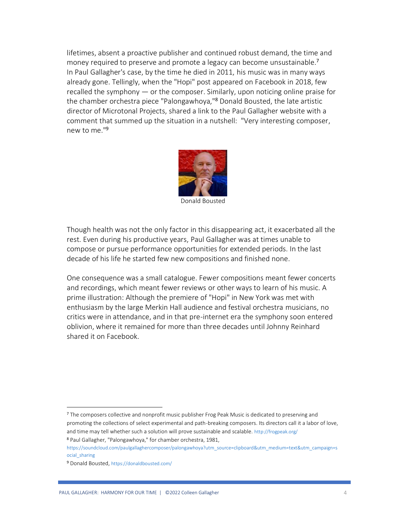lifetimes, absent a proactive publisher and continued robust demand, the time and money required to preserve and promote a legacy can become unsustainable.<sup>7</sup> In Paul Gallagher's case, by the time he died in 2011, his music was in many ways already gone. Tellingly, when the "Hopi" post appeared on Facebook in 2018, few recalled the symphony — or the composer. Similarly, upon noticing online praise for the chamber orchestra piece "Palongawhoya,"<sup>8</sup> Donald Bousted, the late artistic director of Microtonal Projects, shared a link to the Paul Gallagher website with a comment that summed up the situation in a nutshell: "Very interesting composer, new to me."<sup>9</sup>



Donald Bousted

Though health was not the only factor in this disappearing act, it exacerbated all the rest. Even during his productive years, Paul Gallagher was at times unable to compose or pursue performance opportunities for extended periods. In the last decade of his life he started few new compositions and finished none.

One consequence was a small catalogue. Fewer compositions meant fewer concerts and recordings, which meant fewer reviews or other ways to learn of his music. A prime illustration: Although the premiere of "Hopi" in New York was met with enthusiasm by the large Merkin Hall audience and festival orchestra musicians, no critics were in attendance, and in that pre-internet era the symphony soon entered oblivion, where it remained for more than three decades until Johnny Reinhard shared it on Facebook.

<sup>7</sup> The composers collective and nonprofit music publisher Frog Peak Music is dedicated to preserving and promoting the collections of select experimental and path-breaking composers. Its directors call it a labor of love, and time may tell whether such a solution will prove sustainable and scalable. <http://frogpeak.org/> <sup>8</sup> Paul Gallagher, "Palongawhoya," for chamber orchestra, 1981,

[https://soundcloud.com/paulgallaghercomposer/palongawhoya?utm\\_source=clipboard&utm\\_medium=text&utm\\_campaign=s](https://soundcloud.com/paulgallaghercomposer/palongawhoya?utm_source=clipboard&utm_medium=text&utm_campaign=social_sharing) [ocial\\_sharing](https://soundcloud.com/paulgallaghercomposer/palongawhoya?utm_source=clipboard&utm_medium=text&utm_campaign=social_sharing)

<sup>9</sup> Donald Bousted, <https://donaldbousted.com/>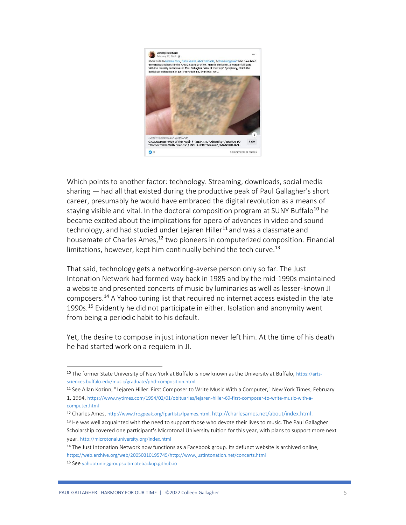

Which points to another factor: technology. Streaming, downloads, social media sharing — had all that existed during the productive peak of Paul Gallagher's short career, presumably he would have embraced the digital revolution as a means of staying visible and vital. In the doctoral composition program at SUNY Buffalo<sup>10</sup> he became excited about the implications for opera of advances in video and sound technology, and had studied under Lejaren Hiller<sup>11</sup> and was a classmate and housemate of Charles Ames,<sup>12</sup> two pioneers in computerized composition. Financial limitations, however, kept him continually behind the tech curve.<sup>13</sup>

That said, technology gets a networking-averse person only so far. The Just Intonation Network had formed way back in 1985 and by the mid-1990s maintained a website and presented concerts of music by luminaries as well as lesser-known JI composers.<sup>14</sup> A Yahoo tuning list that required no internet access existed in the late 1990s.<sup>15</sup> Evidently he did not participate in either. Isolation and anonymity went from being a periodic habit to his default.

Yet, the desire to compose in just intonation never left him. At the time of his death he had started work on a requiem in JI.

<sup>10</sup> The former State University of New York at Buffalo is now known as the University at Buffalo, [https://arts](https://arts-sciences.buffalo.edu/music/graduate/phd-composition.html)[sciences.buffalo.edu/music/graduate/phd-composition.html](https://arts-sciences.buffalo.edu/music/graduate/phd-composition.html)

<sup>11</sup> See Allan Kozinn, "Lejaren Hiller: First Composer to Write Music With a Computer," New York Times, February

<sup>1, 1994,</sup> [https://www.nytimes.com/1994/02/01/obituaries/lejaren-hiller-69-first-composer-to-write-music-with-a](https://www.nytimes.com/1994/02/01/obituaries/lejaren-hiller-69-first-composer-to-write-music-with-a-computer.html)[computer.html](https://www.nytimes.com/1994/02/01/obituaries/lejaren-hiller-69-first-composer-to-write-music-with-a-computer.html)

<sup>12</sup> Charles Ames, [http://www.frogpeak.org/fpartists/fpames.html,](http://www.frogpeak.org/fpartists/fpames.html) [http://charlesames.net/about/index.html.](http://charlesames.net/about/index.html) <sup>13</sup> He was well acquainted with the need to support those who devote their lives to music. The Paul Gallagher Scholarship covered one participant's Microtonal University tuition for this year, with plans to support more next year. <http://microtonaluniversity.org/index.html>

<sup>&</sup>lt;sup>14</sup> The Just Intonation Network now functions as a Facebook group. Its defunct website is archived online, [https://web.archive.org/web/20050310195745/http://www.justintonation.net/concerts.html](https://web.archive.org/web/20050310195745/http:/www.justintonation.net/concerts.html)

<sup>15</sup> See [yahootuninggroupsultimatebackup.github.io](/Users/Colleen/Documents/MUSIC%20–%20PG%20/MICROTONAL%20UNIVERSITY/yahootuninggroupsultimatebackup.github.io)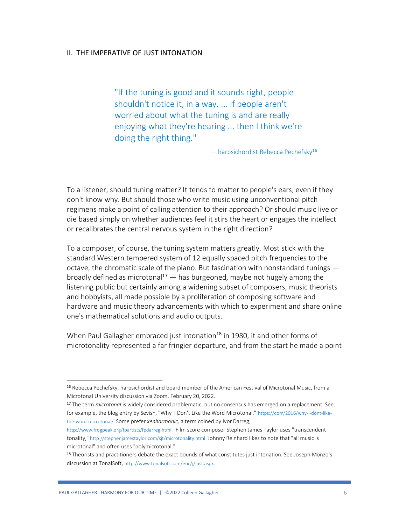## II. THE IMPERATIVE OF JUST INTONATION

"If the tuning is good and it sounds right, people shouldn't notice it, in a way. ... If people aren't worried about what the tuning is and are really enjoying what they're hearing ... then I think we're doing the right thing."

— harpsichordist Rebecca Pechefsky<sup>16</sup>

To a listener, should tuning matter? It tends to matter to people's ears, even if they don't know why. But should those who write music using unconventional pitch regimens make a point of calling attention to their approach? Or should music live or die based simply on whether audiences feel it stirs the heart or engages the intellect or recalibrates the central nervous system in the right direction?

To a composer, of course, the tuning system matters greatly. Most stick with the standard Western tempered system of 12 equally spaced pitch frequencies to the octave, the chromatic scale of the piano. But fascination with nonstandard tunings broadly defined as microtonal<sup>17</sup>  $-$  has burgeoned, maybe not hugely among the listening public but certainly among a widening subset of composers, music theorists and hobbyists, all made possible by a proliferation of composing software and hardware and music theory advancements with which to experiment and share online one's mathematical solutions and audio outputs.

When Paul Gallagher embraced just intonation<sup>18</sup> in 1980, it and other forms of microtonality represented a far fringier departure, and from the start he made a point

<sup>16</sup> Rebecca Pechefsky, harpsichordist and board member of the American Festival of Microtonal Music, from a Microtonal University discussion via Zoom, February 20, 2022.

<sup>17</sup> The term *microtonal* is widely considered problematic, but no consensus has emerged on a replacement. See, for example, the blog entry by Sevish, "Why I Don't Like the Word Microtonal," [https://com/2016/why-i-dont-like](https://com/2016/why-i-dont-like-the-word-microtonal/)[the-word-microtonal/.](https://com/2016/why-i-dont-like-the-word-microtonal/) Some prefer *xenharmonic,* a term coined by Ivor Darreg,

[http://www.frogpeak.org/fpartists/fpdarreg.html.](http://www.frogpeak.org/fpartists/fpdarreg.html) Film score composer Stephen James Taylor uses "transcendent tonality," [http://stephenjamestaylor.com/sjt/microtonality.html.](http://stephenjamestaylor.com/sjt/microtonality.html) Johnny Reinhard likes to note that "all music is microtonal" and often uses "polymicrotonal."

<sup>18</sup> Theorists and practitioners debate the exact bounds of what constitutes just intonation. See Joseph Monzo's discussion at TonalSoft, [http://www.tonalsoft.com/enc/j/just.aspx.](http://www.tonalsoft.com/enc/j/just.aspx)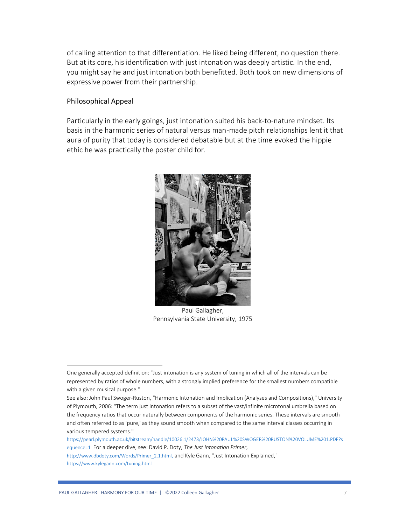of calling attention to that differentiation. He liked being different, no question there. But at its core, his identification with just intonation was deeply artistic. In the end, you might say he and just intonation both benefitted. Both took on new dimensions of expressive power from their partnership.

## Philosophical Appeal

Particularly in the early goings, just intonation suited his back-to-nature mindset. Its basis in the harmonic series of natural versus man-made pitch relationships lent it that aura of purity that today is considered debatable but at the time evoked the hippie ethic he was practically the poster child for.



Paul Gallagher, Pennsylvania State University, 1975

One generally accepted definition: "Just intonation is any system of tuning in which all of the intervals can be represented by ratios of whole numbers, with a strongly implied preference for the smallest numbers compatible with a given musical purpose."

See also: John Paul Swoger-Ruston, "Harmonic Intonation and Implication (Analyses and Compositions)," University of Plymouth, 2006: "The term just intonation refers to a subset of the vast/infinite microtonal umbrella based on the frequency ratios that occur naturally between components of the harmonic series. These intervals are smooth and often referred to as 'pure,' as they sound smooth when compared to the same interval classes occurring in various tempered systems."

[https://pearl.plymouth.ac.uk/bitstream/handle/10026.1/2473/JOHN%20PAUL%20SWOGER%20RUSTON%20VOLUME%201.PDF?s](https://pearl.plymouth.ac.uk/bitstream/handle/10026.1/2473/JOHN%20PAUL%20SWOGER%20RUSTON%20VOLUME%201.PDF?sequence=1) [equence=1](https://pearl.plymouth.ac.uk/bitstream/handle/10026.1/2473/JOHN%20PAUL%20SWOGER%20RUSTON%20VOLUME%201.PDF?sequence=1) For a deeper dive, see: David P. Doty, *The Just Intonation Primer*,

[http://www.dbdoty.com/Words/Primer\\_2.1.html,](http://www.dbdoty.com/Words/Primer_2.1.html,) and Kyle Gann, "Just Intonation Explained," <https://www.kylegann.com/tuning.html>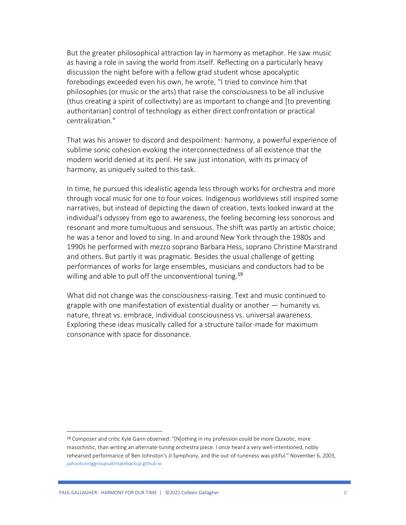But the greater philosophical attraction lay in harmony as metaphor. He saw music as having a role in saving the world from itself. Reflecting on a particularly heavy discussion the night before with a fellow grad student whose apocalyptic forebodings exceeded even his own, he wrote, "I tried to convince him that philosophies (or music or the arts) that raise the consciousness to be all inclusive (thus creating a spirit of collectivity) are as important to change and [to preventing authoritarian] control of technology as either direct confrontation or practical centralization."

That was his answer to discord and despoilment: harmony, a powerful experience of sublime sonic cohesion evoking the interconnectedness of all existence that the modern world denied at its peril. He saw just intonation, with its primacy of harmony, as uniquely suited to this task.

In time, he pursued this idealistic agenda less through works for orchestra and more through vocal music for one to four voices. Indigenous worldviews still inspired some narratives, but instead of depicting the dawn of creation, texts looked inward at the individual's odyssey from ego to awareness, the feeling becoming less sonorous and resonant and more tumultuous and sensuous. The shift was partly an artistic choice; he was a tenor and loved to sing. In and around New York through the 1980s and 1990s he performed with mezzo soprano Barbara Hess, soprano Christine Marstrand and others. But partly it was pragmatic. Besides the usual challenge of getting performances of works for large ensembles, musicians and conductors had to be willing and able to pull off the unconventional tuning.<sup>19</sup>

What did not change was the consciousness-raising. Text and music continued to grapple with one manifestation of existential duality or another — humanity vs. nature, threat vs. embrace, individual consciousness vs. universal awareness. Exploring these ideas musically called for a structure tailor-made for maximum consonance with space for dissonance.

<sup>19</sup> Composer and critic Kyle Gann observed: "[N]othing in my profession could be more Quixotic, more masochistic, than writing an alternate-tuning orchestra piece. I once heard a very well-intentioned, nobly rehearsed performance of Ben Johnston's JI Symphony, and the out-of-tuneness was pitiful." November 6, 2003, [yahootuninggroupsultimatebackup.github.io](/Users/Colleen/Documents/MUSIC%20–%20PG%20/MICROTONAL%20UNIVERSITY/yahootuninggroupsultimatebackup.github.io)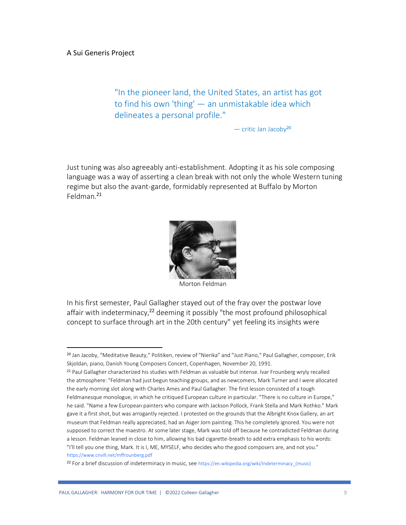"In the pioneer land, the United States, an artist has got to find his own 'thing' — an unmistakable idea which delineates a personal profile."

— critic Jan Jacoby<sup>20</sup>

Just tuning was also agreeably anti-establishment. Adopting it as his sole composing language was a way of asserting a clean break with not only the whole Western tuning regime but also the avant-garde, formidably represented at Buffalo by Morton Feldman. 21



Morton Feldman

In his first semester, Paul Gallagher stayed out of the fray over the postwar love affair with indeterminacy,<sup>22</sup> deeming it possibly "the most profound philosophical concept to surface through art in the 20th century" yet feeling its insights were

<sup>20</sup> Jan Jacoby, "Meditative Beauty," Politiken, review of "Nierika" and "Just Piano," Paul Gallagher, composer, Erik Skjoldan, piano, Danish Young Composers Concert, Copenhagen, November 20, 1991.

<sup>21</sup> Paul Gallagher characterized his studies with Feldman as valuable but intense. Ivar Frounberg wryly recalled the atmosphere: "Feldman had just begun teaching groups, and as newcomers, Mark Turner and I were allocated the early morning slot along with Charles Ames and Paul Gallagher. The first lesson consisted of a tough Feldmanesque monologue, in which he critiqued European culture in particular. "There is no culture in Europe," he said. "Name a few European painters who compare with Jackson Pollock, Frank Stella and Mark Rothko." Mark gave it a first shot, but was arrogantly rejected. I protested on the grounds that the Albright Knox Gallery, an art museum that Feldman really appreciated, had an Asger Jorn painting. This he completely ignored. You were not supposed to correct the maestro. At some later stage, Mark was told off because he contradicted Feldman during a lesson. Feldman leaned in close to him, allowing his bad cigarette-breath to add extra emphasis to his words: "I'll tell you one thing, Mark. It is I, ME, MYSELF, who decides who the good composers are, and not you." https://www.cnvill.net/mffrounberg.pdf

<sup>22</sup> For a brief discussion of indeterminacy in music, see https://en.wikipedia.org/wiki/Indeterminacy\_(music)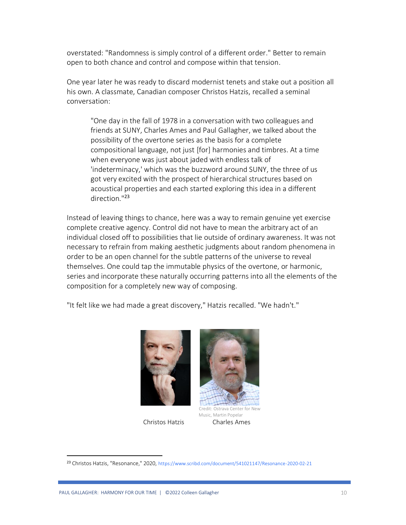overstated: "Randomness is simply control of a different order." Better to remain open to both chance and control and compose within that tension.

One year later he was ready to discard modernist tenets and stake out a position all his own. A classmate, Canadian composer Christos Hatzis, recalled a seminal conversation:

"One day in the fall of 1978 in a conversation with two colleagues and friends at SUNY, Charles Ames and Paul Gallagher, we talked about the possibility of the overtone series as the basis for a complete compositional language, not just [for] harmonies and timbres. At a time when everyone was just about jaded with endless talk of 'indeterminacy,' which was the buzzword around SUNY, the three of us got very excited with the prospect of hierarchical structures based on acoustical properties and each started exploring this idea in a different direction<sup>"23</sup>

Instead of leaving things to chance, here was a way to remain genuine yet exercise complete creative agency. Control did not have to mean the arbitrary act of an individual closed off to possibilities that lie outside of ordinary awareness. It was not necessary to refrain from making aesthetic judgments about random phenomena in order to be an open channel for the subtle patterns of the universe to reveal themselves. One could tap the immutable physics of the overtone, or harmonic, series and incorporate these naturally occurring patterns into all the elements of the composition for a completely new way of composing.

"It felt like we had made a great discovery," Hatzis recalled. "We hadn't."





 Music, Martin Popelar Christos Hatzis Charles Ames

<sup>23</sup> Christos Hatzis, "Resonance," 2020, https://www.scribd.com/document/541021147/Resonance-2020-02-21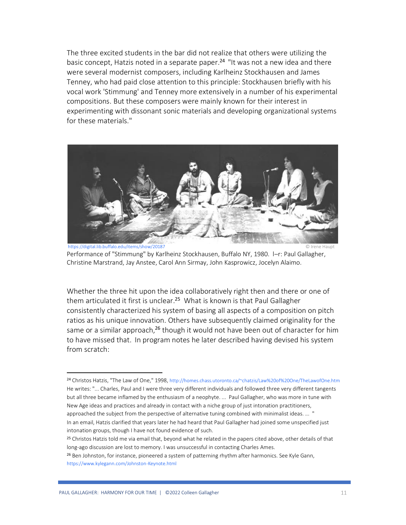The three excited students in the bar did not realize that others were utilizing the basic concept, Hatzis noted in a separate paper.<sup>24</sup> "It was not a new idea and there were several modernist composers, including Karlheinz Stockhausen and James Tenney, who had paid close attention to this principle: Stockhausen briefly with his vocal work 'Stimmung' and Tenney more extensively in a number of his experimental compositions. But these composers were mainly known for their interest in experimenting with dissonant sonic materials and developing organizational systems for these materials."



https://digital.lib.buffalo.edu/items/show/20187 © Irene Haupt Performance of "Stimmung" by Karlheinz Stockhausen, Buffalo NY, 1980. l–r: Paul Gallagher, Christine Marstrand, Jay Anstee, Carol Ann Sirmay, John Kasprowicz, Jocelyn Alaimo.

Whether the three hit upon the idea collaboratively right then and there or one of them articulated it first is unclear. <sup>25</sup> What is known is that Paul Gallagher consistently characterized his system of basing all aspects of a composition on pitch ratios as his unique innovation. Others have subsequently claimed originality for the same or a similar approach,<sup>26</sup> though it would not have been out of character for him to have missed that. In program notes he later described having devised his system from scratch:

intonation groups, though I have not found evidence of such.

<sup>24</sup> Christos Hatzis, "The Law of One," 1998, http://homes.chass.utoronto.ca/~chatzis/Law%20of%20One/TheLawofOne.htm He writes: "... Charles, Paul and I were three very different individuals and followed three very different tangents but all three became inflamed by the enthusiasm of a neophyte. ... Paul Gallagher, who was more in tune with New Age ideas and practices and already in contact with a niche group of just intonation practitioners, approached the subject from the perspective of alternative tuning combined with minimalist ideas. ... ' In an email, Hatzis clarified that years later he had heard that Paul Gallagher had joined some unspecified just

<sup>&</sup>lt;sup>25</sup> Christos Hatzis told me via email that, beyond what he related in the papers cited above, other details of that long-ago discussion are lost to memory. I was unsuccessful in contacting Charles Ames.

<sup>&</sup>lt;sup>26</sup> Ben Johnston, for instance, pioneered a system of patterning rhythm after harmonics. See Kyle Gann, https://www.kylegann.com/Johnston-Keynote.html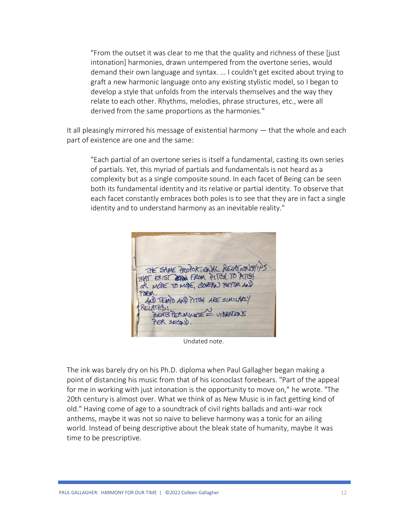"From the outset it was clear to me that the quality and richness of these [just intonation] harmonies, drawn untempered from the overtone series, would demand their own language and syntax. ... I couldn't get excited about trying to graft a new harmonic language onto any existing stylistic model, so I began to develop a style that unfolds from the intervals themselves and the way they relate to each other. Rhythms, melodies, phrase structures, etc., were all derived from the same proportions as the harmonies."

It all pleasingly mirrored his message of existential harmony — that the whole and each part of existence are one and the same:

"Each partial of an overtone series is itself a fundamental, casting its own series of partials. Yet, this myriad of partials and fundamentals is not heard as a complexity but as a single composite sound. In each facet of Being can be seen both its fundamental identity and its relative or partial identity. To observe that each facet constantly embraces both poles is to see that they are in fact a single identity and to understand harmony as an inevitable reality."

|          |             | THE SAME PROPORTIONAL RELATIONS(1) )<br>THAT EXIST REPORT FROM PITCH TO PITCH |  |
|----------|-------------|-------------------------------------------------------------------------------|--|
| FORM.    |             | AND TENTO AND PITCH ARE SIMILARLY                                             |  |
| RELATED: |             | BEATS PERMINUTE = VIBRATERIS                                                  |  |
|          | PER SECOND. |                                                                               |  |

Undated note.

The ink was barely dry on his Ph.D. diploma when Paul Gallagher began making a point of distancing his music from that of his iconoclast forebears. "Part of the appeal for me in working with just intonation is the opportunity to move on," he wrote. "The 20th century is almost over. What we think of as New Music is in fact getting kind of old." Having come of age to a soundtrack of civil rights ballads and anti-war rock anthems, maybe it was not so naive to believe harmony was a tonic for an ailing world. Instead of being descriptive about the bleak state of humanity, maybe it was time to be prescriptive.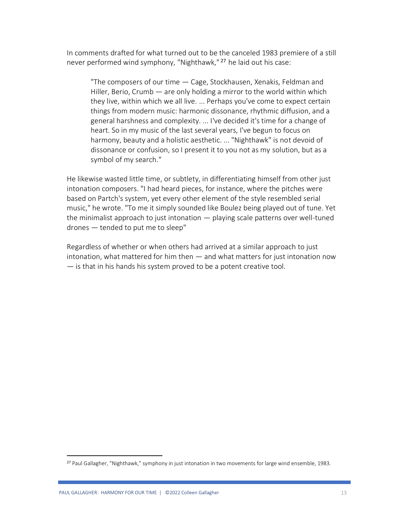In comments drafted for what turned out to be the canceled 1983 premiere of a still never performed wind symphony, "Nighthawk," <sup>27</sup> he laid out his case:

"The composers of our time — Cage, Stockhausen, Xenakis, Feldman and Hiller, Berio, Crumb — are only holding a mirror to the world within which they live, within which we all live. ... Perhaps you've come to expect certain things from modern music: harmonic dissonance, rhythmic diffusion, and a general harshness and complexity. ... I've decided it's time for a change of heart. So in my music of the last several years, I've begun to focus on harmony, beauty and a holistic aesthetic. ... "Nighthawk" is not devoid of dissonance or confusion, so I present it to you not as my solution, but as a symbol of my search."

He likewise wasted little time, or subtlety, in differentiating himself from other just intonation composers. "I had heard pieces, for instance, where the pitches were based on Partch's system, yet every other element of the style resembled serial music," he wrote. "To me it simply sounded like Boulez being played out of tune. Yet the minimalist approach to just intonation — playing scale patterns over well-tuned drones — tended to put me to sleep"

Regardless of whether or when others had arrived at a similar approach to just intonation, what mattered for him then — and what matters for just intonation now — is that in his hands his system proved to be a potent creative tool.

<sup>27</sup> Paul Gallagher, "Nighthawk," symphony in just intonation in two movements for large wind ensemble, 1983.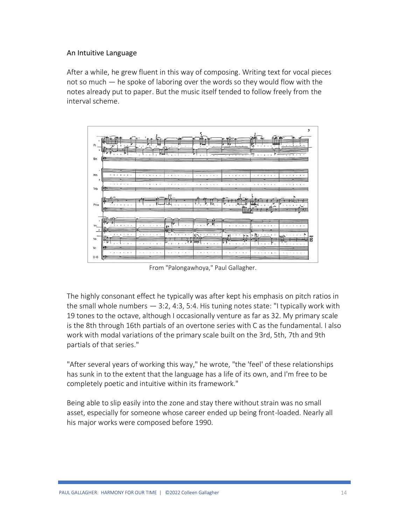## An Intuitive Language

After a while, he grew fluent in this way of composing. Writing text for vocal pieces not so much — he spoke of laboring over the words so they would flow with the notes already put to paper. But the music itself tended to follow freely from the interval scheme.



From "Palongawhoya," Paul Gallagher.

The highly consonant effect he typically was after kept his emphasis on pitch ratios in the small whole numbers  $-3:2, 4:3, 5:4$ . His tuning notes state: "I typically work with 19 tones to the octave, although I occasionally venture as far as 32. My primary scale is the 8th through 16th partials of an overtone series with C as the fundamental. I also work with modal variations of the primary scale built on the 3rd, 5th, 7th and 9th partials of that series."

"After several years of working this way," he wrote, "the 'feel' of these relationships has sunk in to the extent that the language has a life of its own, and I'm free to be completely poetic and intuitive within its framework."

Being able to slip easily into the zone and stay there without strain was no small asset, especially for someone whose career ended up being front-loaded. Nearly all his major works were composed before 1990.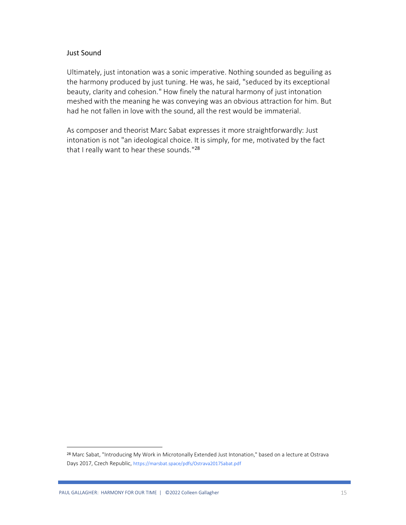## Just Sound

Ultimately, just intonation was a sonic imperative. Nothing sounded as beguiling as the harmony produced by just tuning. He was, he said, "seduced by its exceptional beauty, clarity and cohesion." How finely the natural harmony of just intonation meshed with the meaning he was conveying was an obvious attraction for him. But had he not fallen in love with the sound, all the rest would be immaterial.

As composer and theorist Marc Sabat expresses it more straightforwardly: Just intonation is not "an ideological choice. It is simply, for me, motivated by the fact that I really want to hear these sounds."<sup>28</sup>

<sup>28</sup> Marc Sabat, "Introducing My Work in Microtonally Extended Just Intonation," based on a lecture at Ostrava Days 2017, Czech Republic, https://marsbat.space/pdfs/Ostrava2017Sabat.pdf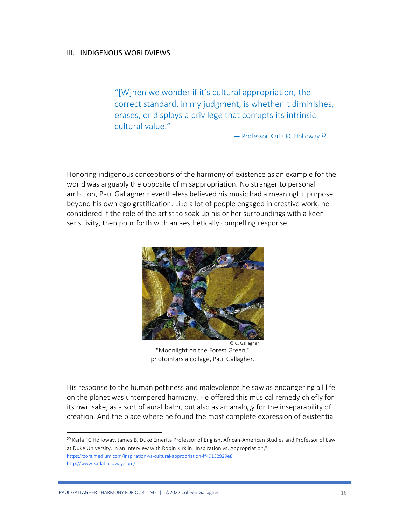### III. INDIGENOUS WORLDVIEWS

"[W]hen we wonder if it's cultural appropriation, the correct standard, in my judgment, is whether it diminishes, erases, or displays a privilege that corrupts its intrinsic cultural value."

— Professor Karla FC Holloway <sup>29</sup>

Honoring indigenous conceptions of the harmony of existence as an example for the world was arguably the opposite of misappropriation. No stranger to personal ambition, Paul Gallagher nevertheless believed his music had a meaningful purpose beyond his own ego gratification. Like a lot of people engaged in creative work, he considered it the role of the artist to soak up his or her surroundings with a keen sensitivity, then pour forth with an aesthetically compelling response.



 © C. Gallagher "Moonlight on the Forest Green," photointarsia collage, Paul Gallagher.

His response to the human pettiness and malevolence he saw as endangering all life on the planet was untempered harmony. He offered this musical remedy chiefly for its own sake, as a sort of aural balm, but also as an analogy for the inseparability of creation. And the place where he found the most complete expression of existential

<sup>29</sup> Karla FC Holloway, James B. Duke Emerita Professor of English, African-American Studies and Professor of Law at Duke University, in an interview with Robin Kirk in "Inspiration vs. Appropriation," https://zora.medium.com/inspiration-vs-cultural-appropriation-ff49132929e8. http://www.karlaholloway.com/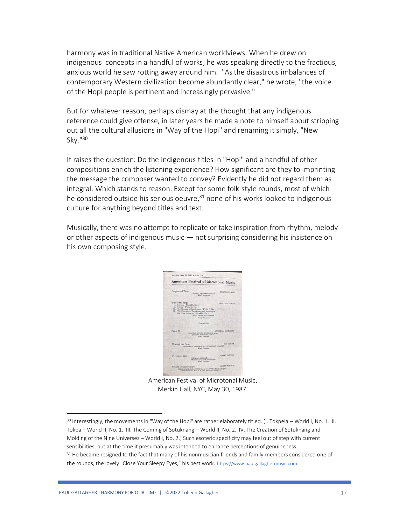harmony was in traditional Native American worldviews. When he drew on indigenous concepts in a handful of works, he was speaking directly to the fractious, anxious world he saw rotting away around him. "As the disastrous imbalances of contemporary Western civilization become abundantly clear," he wrote, "the voice of the Hopi people is pertinent and increasingly pervasive."

But for whatever reason, perhaps dismay at the thought that any indigenous reference could give offense, in later years he made a note to himself about stripping out all the cultural allusions in "Way of the Hopi" and renaming it simply, "New Sky."<sup>30</sup>

It raises the question: Do the indigenous titles in "Hopi" and a handful of other compositions enrich the listening experience? How significant are they to imprinting the message the composer wanted to convey? Evidently he did not regard them as integral. Which stands to reason. Except for some folk-style rounds, most of which he considered outside his serious oeuvre, $31$  none of his works looked to indigenous culture for anything beyond titles and text.

Musically, there was no attempt to replicate or take inspiration from rhythm, melody or other aspects of indigenous music — not surprising considering his insistence on his own composing style.

| American Festival of Microtonal Music                                                                                                                                                                                  |                                                                                             |                          |  |  |
|------------------------------------------------------------------------------------------------------------------------------------------------------------------------------------------------------------------------|---------------------------------------------------------------------------------------------|--------------------------|--|--|
| Graphs and Time                                                                                                                                                                                                        | JOHNNY REPOLARD, ondering<br>World Premiers                                                 | <b>EDGARD VARISE</b>     |  |  |
| Way of the Hopi<br>I. Tokpels - World I. No. 1<br>II. Tokpa - World II, No. 1<br>III. The Coming of Sotuknang - World II, No. 2<br>IV. The Creation of Sotuknang and Molding of<br>the Nine Universes - World I, No. 2 | PAUL GALLAGHER, insights<br>World Primary<br>Internation                                    | PAUL GALLAGHER           |  |  |
|                                                                                                                                                                                                                        |                                                                                             |                          |  |  |
| Paalm 51                                                                                                                                                                                                               | THRORAM MIRARA! ROTHROCK sonesi<br>SOHINNY REPORARD, conductor<br>World Promises            | <b>MORDECAI SANDBERG</b> |  |  |
| Through the Dawn                                                                                                                                                                                                       | THE MICROTONES and the SOLDERS STRING QUARTER<br>World Premiere                             | <b>SON CATER</b>         |  |  |
| December, 1942                                                                                                                                                                                                         | TORDOY REPORATED, JAnuari senso<br><b>SHADDORD CATLER, aligned gener</b><br>World Pressions | <b>HARRY PARTCH</b>      |  |  |

American Festival of Microtonal Music, Merkin Hall, NYC, May 30, 1987.

<sup>30</sup> Interestingly, the movements in "Way of the Hopi" are rather elaborately titled. (I. Tokpela – World I, No. 1. II. Tokpa – World II, No. 1. III. The Coming of Sotuknang – World II, No. 2. IV. The Creation of Sotuknang and Molding of the Nine Universes – World I, No. 2.) Such esoteric specificity may feel out of step with current sensibilities, but at the time it presumably was intended to enhance perceptions of genuineness. <sup>31</sup> He became resigned to the fact that many of his nonmusician friends and family members considered one of the rounds, the lovely "Close Your Sleepy Eyes," his best work. https://www.paulgallaghermusic.com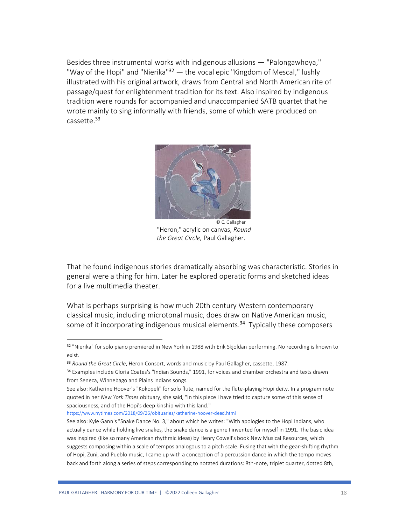Besides three instrumental works with indigenous allusions — "Palongawhoya," "Way of the Hopi" and "Nierika"<sup>32</sup> — the vocal epic "Kingdom of Mescal," lushly illustrated with his original artwork, draws from Central and North American rite of passage/quest for enlightenment tradition for its text. Also inspired by indigenous tradition were rounds for accompanied and unaccompanied SATB quartet that he wrote mainly to sing informally with friends, some of which were produced on cassette. 33



"Heron," acrylic on canvas, *Round the Great Circle,* Paul Gallagher.

That he found indigenous stories dramatically absorbing was characteristic. Stories in general were a thing for him. Later he explored operatic forms and sketched ideas for a live multimedia theater.

What is perhaps surprising is how much 20th century Western contemporary classical music, including microtonal music, does draw on Native American music, some of it incorporating indigenous musical elements. <sup>34</sup> Typically these composers

<https://www.nytimes.com/2018/09/26/obituaries/katherine-hoover-dead.html>

<sup>32 &</sup>quot;Nierika" for solo piano premiered in New York in 1988 with Erik Skjoldan performing. No recording is known to exist.

<sup>33</sup> *Round the Great Circle*, Heron Consort, words and music by Paul Gallagher, cassette, 1987.

<sup>34</sup> Examples include Gloria Coates's "Indian Sounds," 1991, for voices and chamber orchestra and texts drawn from Seneca, Winnebago and Plains Indians songs.

See also: Katherine Hoover's "Kokopeli" for solo flute, named for the flute-playing Hopi deity. In a program note quoted in her *New York Times* obituary, she said, "In this piece I have tried to capture some of this sense of spaciousness, and of the Hopi's deep kinship with this land."

See also: Kyle Gann's "Snake Dance No. 3," about which he writes: "With apologies to the Hopi Indians, who actually dance while holding live snakes, the snake dance is a genre I invented for myself in 1991. The basic idea was inspired (like so many American rhythmic ideas) by Henry Cowell's book New Musical Resources, which suggests composing within a scale of tempos analogous to a pitch scale. Fusing that with the gear-shifting rhythm of Hopi, Zuni, and Pueblo music, I came up with a conception of a percussion dance in which the tempo moves back and forth along a series of steps corresponding to notated durations: 8th-note, triplet quarter, dotted 8th,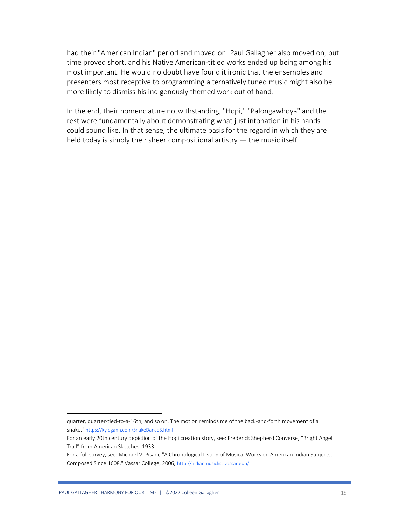had their "American Indian" period and moved on. Paul Gallagher also moved on, but time proved short, and his Native American-titled works ended up being among his most important. He would no doubt have found it ironic that the ensembles and presenters most receptive to programming alternatively tuned music might also be more likely to dismiss his indigenously themed work out of hand.

In the end, their nomenclature notwithstanding, "Hopi," "Palongawhoya" and the rest were fundamentally about demonstrating what just intonation in his hands could sound like. In that sense, the ultimate basis for the regard in which they are held today is simply their sheer compositional artistry — the music itself.

quarter, quarter-tied-to-a-16th, and so on. The motion reminds me of the back-and-forth movement of a snake." https://kylegann.com/SnakeDance3.html

For an early 20th century depiction of the Hopi creation story, see: Frederick Shepherd Converse, "Bright Angel Trail" from American Sketches, 1933.

For a full survey, see: Michael V. Pisani, "A Chronological Listing of Musical Works on American Indian Subjects, Composed Since 1608," Vassar College, 2006, http://indianmusiclist.vassar.edu/